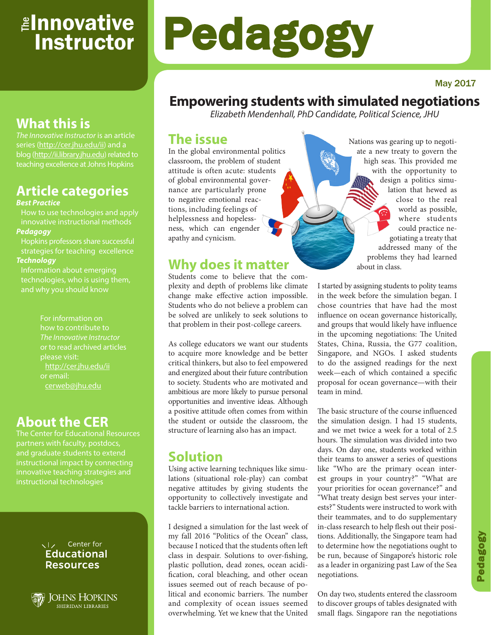# <sub>≝l</sub>nnovative **Instructor**

#### May 2017

# **Empowering students with simulated negotiations**

*Elizabeth Mendenhall, PhD Candidate, Political Science, JHU*

Pedagogy

### **The issue**

In the global environmental politics classroom, the problem of student attitude is often acute: students of global environmental governance are particularly prone to negative emotional reactions, including feelings of helplessness and hopelessness, which can engender apathy and cynicism.

## **Why does it matter**

Students come to believe that the complexity and depth of problems like climate change make effective action impossible. Students who do not believe a problem can be solved are unlikely to seek solutions to that problem in their post-college careers.

As college educators we want our students to acquire more knowledge and be better critical thinkers, but also to feel empowered and energized about their future contribution to society. Students who are motivated and ambitious are more likely to pursue personal opportunities and inventive ideas. Although a positive attitude often comes from within the student or outside the classroom, the structure of learning also has an impact.

# **Solution**

Using active learning techniques like simulations (situational role-play) can combat negative attitudes by giving students the opportunity to collectively investigate and tackle barriers to international action.

I designed a simulation for the last week of my fall 2016 "Politics of the Ocean" class, because I noticed that the students often left class in despair. Solutions to over-fishing, plastic pollution, dead zones, ocean acidification, coral bleaching, and other ocean issues seemed out of reach because of political and economic barriers. The number and complexity of ocean issues seemed overwhelming. Yet we knew that the United Nations was gearing up to negotiate a new treaty to govern the high seas. This provided me with the opportunity to design a politics simulation that hewed as close to the real world as possible, where students could practice negotiating a treaty that addressed many of the problems they had learned about in class.

I started by assigning students to polity teams in the week before the simulation began. I chose countries that have had the most influence on ocean governance historically, and groups that would likely have influence in the upcoming negotiations: The United States, China, Russia, the G77 coalition, Singapore, and NGOs. I asked students to do the assigned readings for the next week—each of which contained a specific proposal for ocean governance—with their team in mind.

The basic structure of the course influenced the simulation design. I had 15 students, and we met twice a week for a total of 2.5 hours. The simulation was divided into two days. On day one, students worked within their teams to answer a series of questions like "Who are the primary ocean interest groups in your country?" "What are your priorities for ocean governance?" and "What treaty design best serves your interests?" Students were instructed to work with their teammates, and to do supplementary in-class research to help flesh out their positions. Additionally, the Singapore team had to determine how the negotiations ought to be run, because of Singapore's historic role as a leader in organizing past Law of the Sea negotiations.

On day two, students entered the classroom to discover groups of tables designated with small flags. Singapore ran the negotiations

# **What this is**

*The Innovative Instructor* is an article series (http://cer.jhu.edu/ii) and a blog (http://ii.library.jhu.edu) related to teaching excellence at Johns Hopkins

# **Article categories**

#### *Best Practice*

How to use technologies and apply innovative instructional methods *Pedagogy*

Hopkins professors share successful strategies for teaching excellence *Technology*

Information about emerging technologies, who is using them,

> how to contribute to *The Innovative Instructor* or to read archived articles please visit: http://cer.jhu.edu/ii or email: cerweb@jhu.edu

# **About the CER**

The Center for Educational Resources partners with faculty, postdocs, and graduate students to extend innovative teaching strategies and instructional technologies



JOHNS HOPKINS **SHERIDAN LIBRARIES**